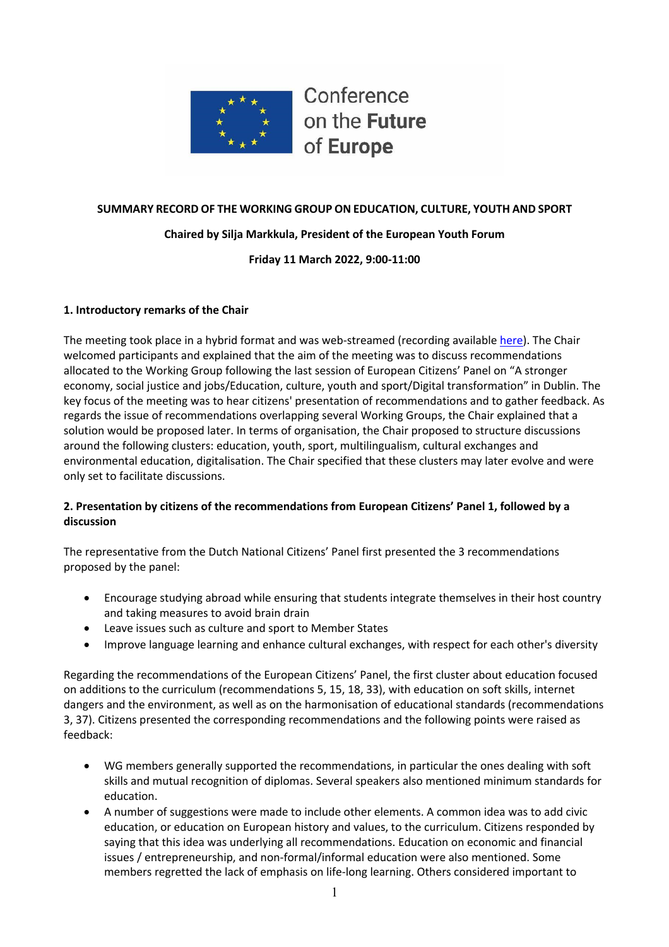

Conference on the Future of Europe

# **SUMMARY RECORD OF THE WORKING GROUP ON EDUCATION, CULTURE, YOUTH AND SPORT**

## **Chaired by Silja Markkula, President of the European Youth Forum**

**Friday 11 March 2022, 9:00-11:00**

## **1. Introductory remarks of the Chair**

The meeting took place in a hybrid format and was web-streamed (recording available here). The Chair welcomed participants and explained that the aim of the meeting was to discuss recommendations allocated to the Working Group following the last session of European Citizens' Panel on "A stronger economy, social justice and jobs/Education, culture, youth and sport/Digital transformation" in Dublin. The key focus of the meeting was to hear citizens' presentation of recommendations and to gather feedback. As regards the issue of recommendations overlapping several Working Groups, the Chair explained that a solution would be proposed later. In terms of organisation, the Chair proposed to structure discussions around the following clusters: education, youth, sport, multilingualism, cultural exchanges and environmental education, digitalisation. The Chair specified that these clusters may later evolve and were only set to facilitate discussions.

# **2. Presentation by citizens of the recommendations from European Citizens' Panel 1, followed by a discussion**

The representative from the Dutch National Citizens' Panel first presented the 3 recommendations proposed by the panel:

- Encourage studying abroad while ensuring that students integrate themselves in their host country and taking measures to avoid brain drain
- Leave issues such as culture and sport to Member States
- Improve language learning and enhance cultural exchanges, with respect for each other's diversity

Regarding the recommendations of the European Citizens' Panel, the first cluster about education focused on additions to the curriculum (recommendations 5, 15, 18, 33), with education on soft skills, internet dangers and the environment, as well as on the harmonisation of educational standards (recommendations 3, 37). Citizens presented the corresponding recommendations and the following points were raised as feedback:

- WG members generally supported the recommendations, in particular the ones dealing with soft skills and mutual recognition of diplomas. Several speakers also mentioned minimum standards for education.
- A number of suggestions were made to include other elements. A common idea was to add civic education, or education on European history and values, to the curriculum. Citizens responded by saying that this idea was underlying all recommendations. Education on economic and financial issues / entrepreneurship, and non-formal/informal education were also mentioned. Some members regretted the lack of emphasis on life-long learning. Others considered important to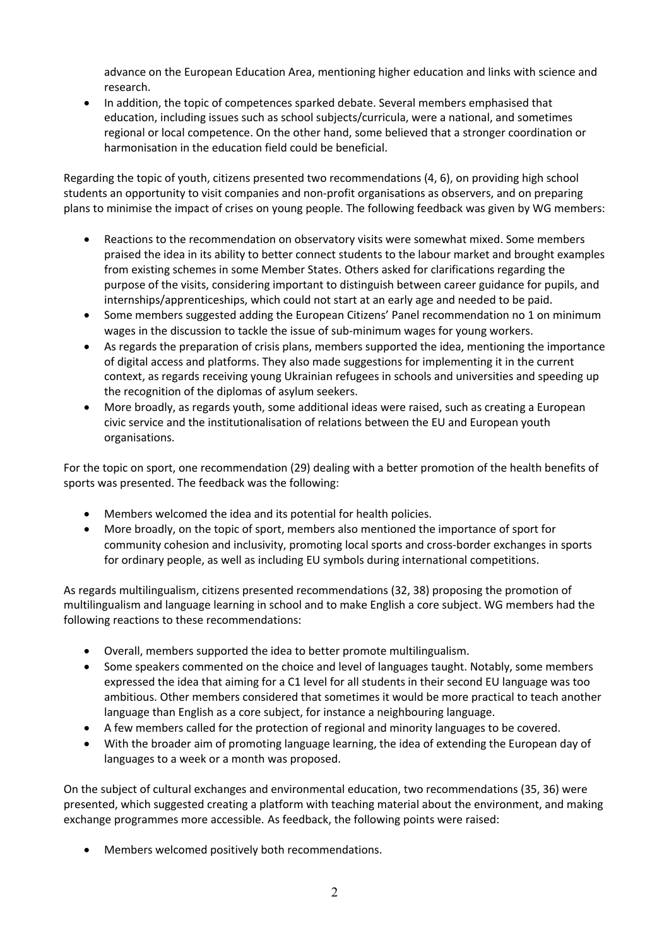advance on the European Education Area, mentioning higher education and links with science and research.

• In addition, the topic of competences sparked debate. Several members emphasised that education, including issues such as school subjects/curricula, were a national, and sometimes regional or local competence. On the other hand, some believed that a stronger coordination or harmonisation in the education field could be beneficial.

Regarding the topic of youth, citizens presented two recommendations (4, 6), on providing high school students an opportunity to visit companies and non-profit organisations as observers, and on preparing plans to minimise the impact of crises on young people. The following feedback was given by WG members:

- Reactions to the recommendation on observatory visits were somewhat mixed. Some members praised the idea in its ability to better connect students to the labour market and brought examples from existing schemes in some Member States. Others asked for clarifications regarding the purpose of the visits, considering important to distinguish between career guidance for pupils, and internships/apprenticeships, which could not start at an early age and needed to be paid.
- Some members suggested adding the European Citizens' Panel recommendation no 1 on minimum wages in the discussion to tackle the issue of sub-minimum wages for young workers.
- As regards the preparation of crisis plans, members supported the idea, mentioning the importance of digital access and platforms. They also made suggestions for implementing it in the current context, as regards receiving young Ukrainian refugees in schools and universities and speeding up the recognition of the diplomas of asylum seekers.
- More broadly, as regards youth, some additional ideas were raised, such as creating a European civic service and the institutionalisation of relations between the EU and European youth organisations.

For the topic on sport, one recommendation (29) dealing with a better promotion of the health benefits of sports was presented. The feedback was the following:

- Members welcomed the idea and its potential for health policies.
- More broadly, on the topic of sport, members also mentioned the importance of sport for community cohesion and inclusivity, promoting local sports and cross-border exchanges in sports for ordinary people, as well as including EU symbols during international competitions.

As regards multilingualism, citizens presented recommendations (32, 38) proposing the promotion of multilingualism and language learning in school and to make English a core subject. WG members had the following reactions to these recommendations:

- Overall, members supported the idea to better promote multilingualism.
- Some speakers commented on the choice and level of languages taught. Notably, some members expressed the idea that aiming for a C1 level for all students in their second EU language was too ambitious. Other members considered that sometimes it would be more practical to teach another language than English as a core subject, for instance a neighbouring language.
- A few members called for the protection of regional and minority languages to be covered.
- With the broader aim of promoting language learning, the idea of extending the European day of languages to a week or a month was proposed.

On the subject of cultural exchanges and environmental education, two recommendations (35, 36) were presented, which suggested creating a platform with teaching material about the environment, and making exchange programmes more accessible. As feedback, the following points were raised:

• Members welcomed positively both recommendations.